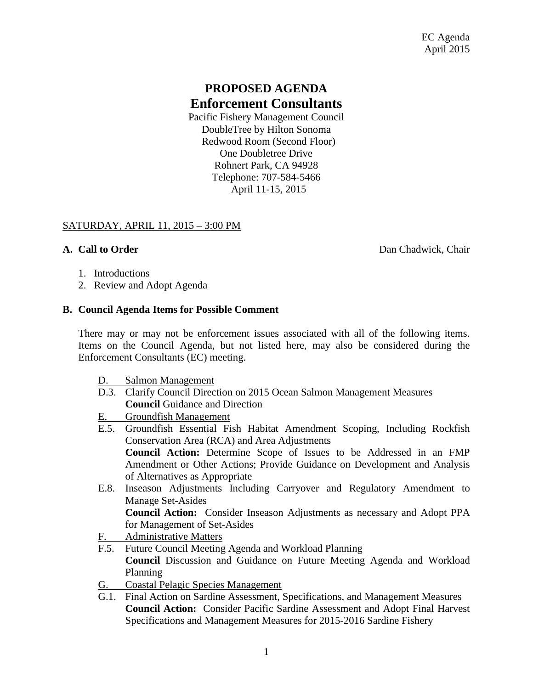# **PROPOSED AGENDA Enforcement Consultants**

Pacific Fishery Management Council DoubleTree by Hilton Sonoma Redwood Room (Second Floor) One Doubletree Drive Rohnert Park, CA 94928 Telephone: 707-584-5466 April 11-15, 2015

## SATURDAY, APRIL 11, 2015 – 3:00 PM

**A. Call to Order** Dan Chadwick, Chair

- 1. Introductions
- 2. Review and Adopt Agenda

### **B. Council Agenda Items for Possible Comment**

There may or may not be enforcement issues associated with all of the following items. Items on the Council Agenda, but not listed here, may also be considered during the Enforcement Consultants (EC) meeting.

- D. Salmon Management
- D.3. Clarify Council Direction on 2015 Ocean Salmon Management Measures **Council** Guidance and Direction
- E. Groundfish Management
- E.5. Groundfish Essential Fish Habitat Amendment Scoping, Including Rockfish Conservation Area (RCA) and Area Adjustments **Council Action:** Determine Scope of Issues to be Addressed in an FMP Amendment or Other Actions; Provide Guidance on Development and Analysis of Alternatives as Appropriate
- E.8. Inseason Adjustments Including Carryover and Regulatory Amendment to Manage Set-Asides

**Council Action:** Consider Inseason Adjustments as necessary and Adopt PPA for Management of Set-Asides

- F. Administrative Matters
- F.5. Future Council Meeting Agenda and Workload Planning **Council** Discussion and Guidance on Future Meeting Agenda and Workload Planning
- G. Coastal Pelagic Species Management
- G.1. Final Action on Sardine Assessment, Specifications, and Management Measures **Council Action:** Consider Pacific Sardine Assessment and Adopt Final Harvest Specifications and Management Measures for 2015-2016 Sardine Fishery